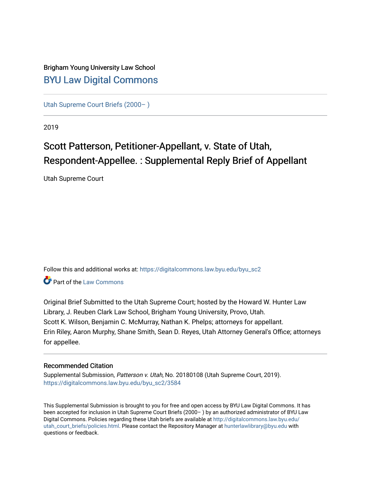### Brigham Young University Law School [BYU Law Digital Commons](https://digitalcommons.law.byu.edu/)

[Utah Supreme Court Briefs \(2000– \)](https://digitalcommons.law.byu.edu/byu_sc2)

2019

# Scott Patterson, Petitioner-Appellant, v. State of Utah, Respondent-Appellee. : Supplemental Reply Brief of Appellant

Utah Supreme Court

Follow this and additional works at: [https://digitalcommons.law.byu.edu/byu\\_sc2](https://digitalcommons.law.byu.edu/byu_sc2?utm_source=digitalcommons.law.byu.edu%2Fbyu_sc2%2F3584&utm_medium=PDF&utm_campaign=PDFCoverPages) 

**C** Part of the [Law Commons](https://network.bepress.com/hgg/discipline/578?utm_source=digitalcommons.law.byu.edu%2Fbyu_sc2%2F3584&utm_medium=PDF&utm_campaign=PDFCoverPages)

Original Brief Submitted to the Utah Supreme Court; hosted by the Howard W. Hunter Law Library, J. Reuben Clark Law School, Brigham Young University, Provo, Utah. Scott K. Wilson, Benjamin C. McMurray, Nathan K. Phelps; attorneys for appellant. Erin Riley, Aaron Murphy, Shane Smith, Sean D. Reyes, Utah Attorney General's Office; attorneys for appellee.

#### Recommended Citation

Supplemental Submission, Patterson v. Utah, No. 20180108 (Utah Supreme Court, 2019). [https://digitalcommons.law.byu.edu/byu\\_sc2/3584](https://digitalcommons.law.byu.edu/byu_sc2/3584?utm_source=digitalcommons.law.byu.edu%2Fbyu_sc2%2F3584&utm_medium=PDF&utm_campaign=PDFCoverPages)

This Supplemental Submission is brought to you for free and open access by BYU Law Digital Commons. It has been accepted for inclusion in Utah Supreme Court Briefs (2000– ) by an authorized administrator of BYU Law Digital Commons. Policies regarding these Utah briefs are available at [http://digitalcommons.law.byu.edu/](http://digitalcommons.law.byu.edu/utah_court_briefs/policies.html) [utah\\_court\\_briefs/policies.html.](http://digitalcommons.law.byu.edu/utah_court_briefs/policies.html) Please contact the Repository Manager at hunterlawlibrary@byu.edu with questions or feedback.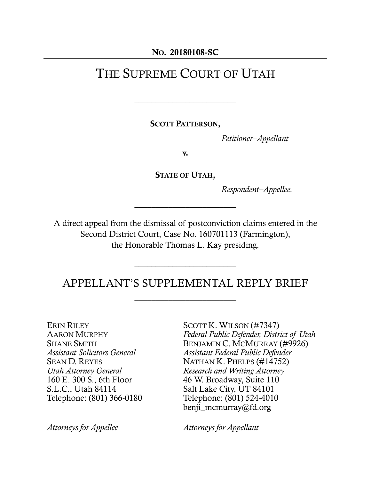#### NO. 20180108-SC

# THE SUPREME COURT OF UTAH

 $\overline{\phantom{a}}$  , where  $\overline{\phantom{a}}$  , where  $\overline{\phantom{a}}$  , where  $\overline{\phantom{a}}$ 

SCOTT PATTERSON,

*Petitioner–Appellant*

v.

STATE OF UTAH,

 $\overline{\phantom{a}}$  , where  $\overline{\phantom{a}}$  , where  $\overline{\phantom{a}}$ 

*Respondent–Appellee.*

A direct appeal from the dismissal of postconviction claims entered in the Second District Court, Case No. 160701113 (Farmington), the Honorable Thomas L. Kay presiding.

### APPELLANT'S SUPPLEMENTAL REPLY BRIEF

 $\overline{\phantom{a}}$  , where  $\overline{\phantom{a}}$  , where  $\overline{\phantom{a}}$ 

 $\overline{\phantom{a}}$  , where  $\overline{\phantom{a}}$  , where  $\overline{\phantom{a}}$  , where  $\overline{\phantom{a}}$ 

ERIN RILEY AARON MURPHY SHANE SMITH *Assistant Solicitors General* SEAN D. REYES *Utah Attorney General* 160 E. 300 S., 6th Floor S.L.C., Utah 84114 Telephone: (801) 366-0180

SCOTT K. WILSON (#7347) *Federal Public Defender, District of Utah* BENJAMIN C. MCMURRAY (#9926) *Assistant Federal Public Defender* NATHAN K. PHELPS (#14752) *Research and Writing Attorney* 46 W. Broadway, Suite 110 Salt Lake City, UT 84101 Telephone: (801) 524-4010 benji mcmurray@fd.org

*Attorneys for Appellee Attorneys for Appellant*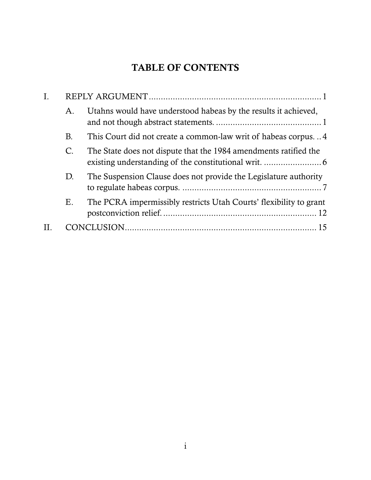# TABLE OF CONTENTS

| $\mathsf{A}$ .<br>В.<br>$\mathcal{C}$ .<br>D.<br>Ε. |  |                                                                    |  |
|-----------------------------------------------------|--|--------------------------------------------------------------------|--|
|                                                     |  | Utahns would have understood habeas by the results it achieved,    |  |
|                                                     |  | This Court did not create a common-law writ of habeas corpus4      |  |
|                                                     |  | The State does not dispute that the 1984 amendments ratified the   |  |
|                                                     |  | The Suspension Clause does not provide the Legislature authority   |  |
|                                                     |  | The PCRA impermissibly restricts Utah Courts' flexibility to grant |  |
|                                                     |  |                                                                    |  |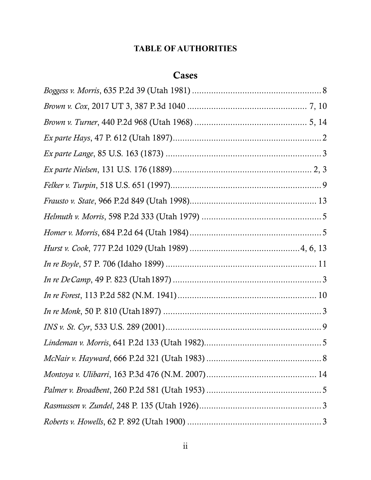### **TABLE OF AUTHORITIES**

### **Cases**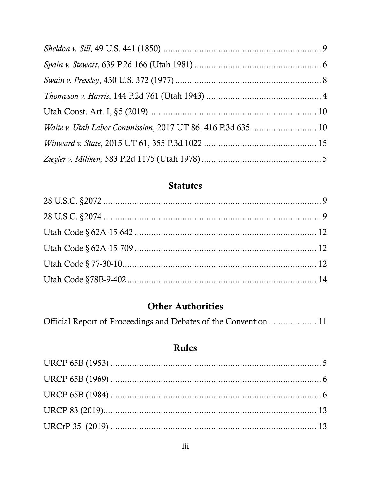## **Statutes**

# **Other Authorities**

|  | Official Report of Proceedings and Debates of the Convention  11 |  |
|--|------------------------------------------------------------------|--|
|  |                                                                  |  |

## Rules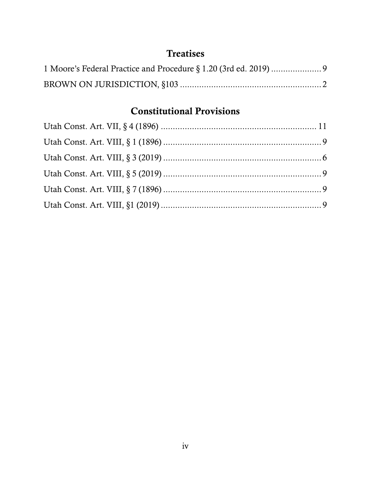## **Treatises**

# Constitutional Provisions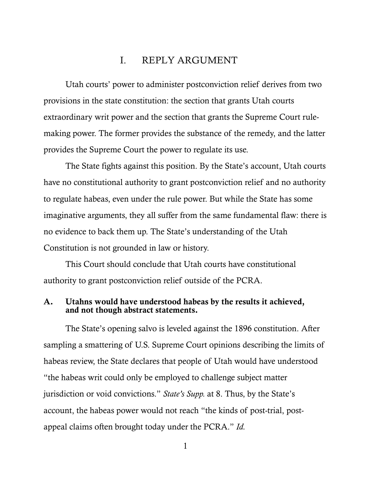#### I. REPLY ARGUMENT

Utah courts' power to administer postconviction relief derives from two provisions in the state constitution: the section that grants Utah courts extraordinary writ power and the section that grants the Supreme Court rulemaking power. The former provides the substance of the remedy, and the latter provides the Supreme Court the power to regulate its use.

The State fights against this position. By the State's account, Utah courts have no constitutional authority to grant postconviction relief and no authority to regulate habeas, even under the rule power. But while the State has some imaginative arguments, they all suffer from the same fundamental flaw: there is no evidence to back them up. The State's understanding of the Utah Constitution is not grounded in law or history.

This Court should conclude that Utah courts have constitutional authority to grant postconviction relief outside of the PCRA.

#### A. Utahns would have understood habeas by the results it achieved, and not though abstract statements.

The State's opening salvo is leveled against the 1896 constitution. After sampling a smattering of U.S. Supreme Court opinions describing the limits of habeas review, the State declares that people of Utah would have understood "the habeas writ could only be employed to challenge subject matter jurisdiction or void convictions." *State's Supp.* at 8. Thus, by the State's account, the habeas power would not reach "the kinds of post-trial, postappeal claims often brought today under the PCRA." *Id.*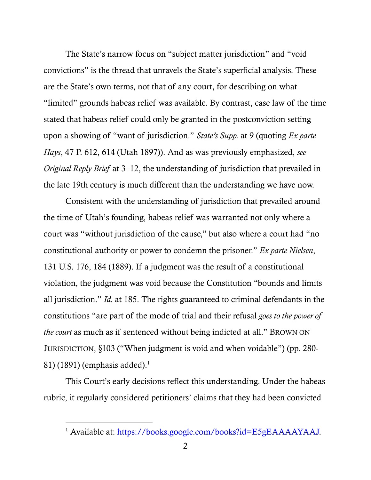The State's narrow focus on "subject matter jurisdiction" and "void convictions" is the thread that unravels the State's superficial analysis. These are the State's own terms, not that of any court, for describing on what "limited" grounds habeas relief was available. By contrast, case law of the time stated that habeas relief could only be granted in the postconviction setting upon a showing of "want of jurisdiction." *State's Supp.* at 9 (quoting *Ex parte Hays*, 47 P. 612, 614 (Utah 1897)). And as was previously emphasized, *see Original Reply Brief* at 3–12, the understanding of jurisdiction that prevailed in the late 19th century is much different than the understanding we have now.

Consistent with the understanding of jurisdiction that prevailed around the time of Utah's founding, habeas relief was warranted not only where a court was "without jurisdiction of the cause," but also where a court had "no constitutional authority or power to condemn the prisoner." *Ex parte Nielsen*, 131 U.S. 176, 184 (1889). If a judgment was the result of a constitutional violation, the judgment was void because the Constitution "bounds and limits all jurisdiction." *Id.* at 185. The rights guaranteed to criminal defendants in the constitutions "are part of the mode of trial and their refusal *goes to the power of the court* as much as if sentenced without being indicted at all." BROWN ON JURISDICTION, §103 ("When judgment is void and when voidable") (pp. 280- 81) (1891) (emphasis added). $1$ 

This Court's early decisions reflect this understanding. Under the habeas rubric, it regularly considered petitioners' claims that they had been convicted

<sup>&</sup>lt;sup>1</sup> Available at: https://books.google.com/books?id=E5gEAAAAYAAJ.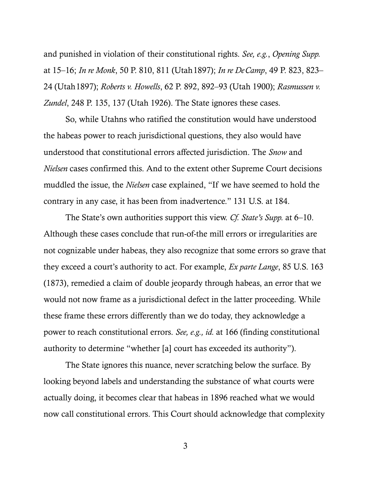and punished in violation of their constitutional rights. *See, e.g.*, *Opening Supp.* at 15–16; *In re Monk*, 50 P. 810, 811 (Utah1897); *In re DeCamp*, 49 P. 823, 823– 24 (Utah1897); *Roberts v. Howells*, 62 P. 892, 892–93 (Utah 1900); *Rasmussen v. Zundel*, 248 P. 135, 137 (Utah 1926). The State ignores these cases.

So, while Utahns who ratified the constitution would have understood the habeas power to reach jurisdictional questions, they also would have understood that constitutional errors affected jurisdiction. The *Snow* and *Nielsen* cases confirmed this. And to the extent other Supreme Court decisions muddled the issue, the *Nielsen* case explained, "If we have seemed to hold the contrary in any case, it has been from inadvertence." 131 U.S. at 184.

The State's own authorities support this view. *Cf. State's Supp.* at 6–10. Although these cases conclude that run-of-the mill errors or irregularities are not cognizable under habeas, they also recognize that some errors so grave that they exceed a court's authority to act. For example, *Ex parte Lange*, 85 U.S. 163 (1873), remedied a claim of double jeopardy through habeas, an error that we would not now frame as a jurisdictional defect in the latter proceeding. While these frame these errors differently than we do today, they acknowledge a power to reach constitutional errors. *See, e.g., id.* at 166 (finding constitutional authority to determine "whether [a] court has exceeded its authority").

The State ignores this nuance, never scratching below the surface. By looking beyond labels and understanding the substance of what courts were actually doing, it becomes clear that habeas in 1896 reached what we would now call constitutional errors. This Court should acknowledge that complexity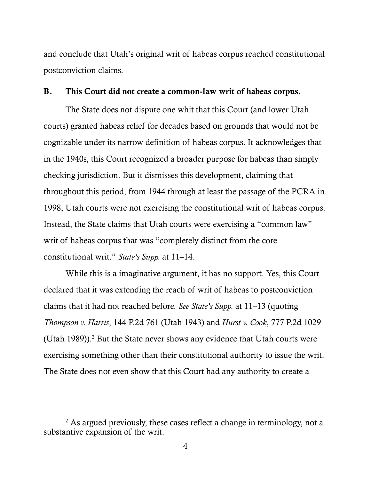and conclude that Utah's original writ of habeas corpus reached constitutional postconviction claims.

#### B. This Court did not create a common-law writ of habeas corpus.

The State does not dispute one whit that this Court (and lower Utah courts) granted habeas relief for decades based on grounds that would not be cognizable under its narrow definition of habeas corpus. It acknowledges that in the 1940s, this Court recognized a broader purpose for habeas than simply checking jurisdiction. But it dismisses this development, claiming that throughout this period, from 1944 through at least the passage of the PCRA in 1998, Utah courts were not exercising the constitutional writ of habeas corpus. Instead, the State claims that Utah courts were exercising a "common law" writ of habeas corpus that was "completely distinct from the core constitutional writ." *State's Supp.* at 11–14.

While this is a imaginative argument, it has no support. Yes, this Court declared that it was extending the reach of writ of habeas to postconviction claims that it had not reached before. *See State's Supp.* at 11–13 (quoting *Thompson v. Harris*, 144 P.2d 761 (Utah 1943) and *Hurst v. Cook*, 777 P.2d 1029 (Utah 1989)). <sup>2</sup> But the State never shows any evidence that Utah courts were exercising something other than their constitutional authority to issue the writ. The State does not even show that this Court had any authority to create a

 $2$  As argued previously, these cases reflect a change in terminology, not a substantive expansion of the writ.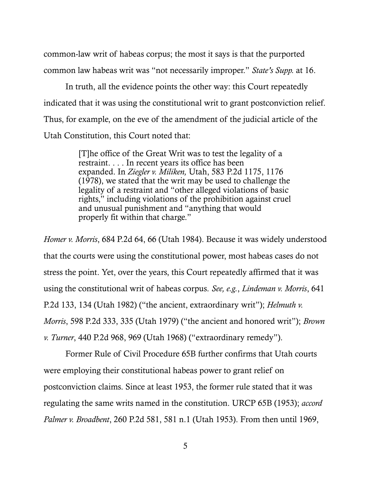common-law writ of habeas corpus; the most it says is that the purported common law habeas writ was "not necessarily improper." *State's Supp.* at 16.

In truth, all the evidence points the other way: this Court repeatedly indicated that it was using the constitutional writ to grant postconviction relief. Thus, for example, on the eve of the amendment of the judicial article of the Utah Constitution, this Court noted that:

> [T]he office of the Great Writ was to test the legality of a restraint. . . . In recent years its office has been expanded. In *Ziegler v. Miliken,* Utah, 583 P.2d 1175, 1176 (1978), we stated that the writ may be used to challenge the legality of a restraint and "other alleged violations of basic rights," including violations of the prohibition against cruel and unusual punishment and "anything that would properly fit within that charge."

*Homer v. Morris*, 684 P.2d 64, 66 (Utah 1984). Because it was widely understood that the courts were using the constitutional power, most habeas cases do not stress the point. Yet, over the years, this Court repeatedly affirmed that it was using the constitutional writ of habeas corpus. *See, e.g.*, *Lindeman v. Morris*, 641 P.2d 133, 134 (Utah 1982) ("the ancient, extraordinary writ"); *Helmuth v. Morris*, 598 P.2d 333, 335 (Utah 1979) ("the ancient and honored writ"); *Brown v. Turner*, 440 P.2d 968, 969 (Utah 1968) ("extraordinary remedy").

Former Rule of Civil Procedure 65B further confirms that Utah courts were employing their constitutional habeas power to grant relief on postconviction claims. Since at least 1953, the former rule stated that it was regulating the same writs named in the constitution. URCP 65B (1953); *accord Palmer v. Broadbent*, 260 P.2d 581, 581 n.1 (Utah 1953). From then until 1969,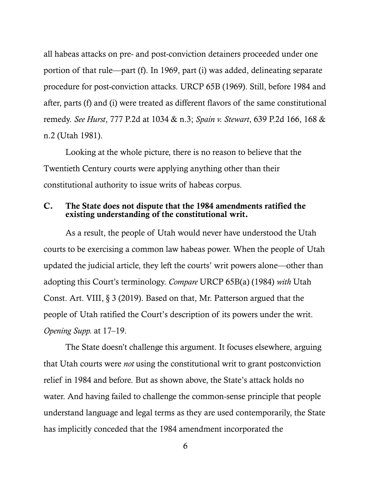all habeas attacks on pre- and post-conviction detainers proceeded under one portion of that rule—part (f). In 1969, part (i) was added, delineating separate procedure for post-conviction attacks. URCP 65B (1969). Still, before 1984 and after, parts (f) and (i) were treated as different flavors of the same constitutional remedy. *See Hurst*, 777 P.2d at 1034 & n.3; *Spain v. Stewart*, 639 P.2d 166, 168 & n.2 (Utah 1981).

Looking at the whole picture, there is no reason to believe that the Twentieth Century courts were applying anything other than their constitutional authority to issue writs of habeas corpus.

#### C. The State does not dispute that the 1984 amendments ratified the existing understanding of the constitutional writ.

As a result, the people of Utah would never have understood the Utah courts to be exercising a common law habeas power. When the people of Utah updated the judicial article, they left the courts' writ powers alone—other than adopting this Court's terminology. *Compare* URCP 65B(a) (1984) *with* Utah Const. Art. VIII, § 3 (2019). Based on that, Mr. Patterson argued that the people of Utah ratified the Court's description of its powers under the writ. *Opening Supp.* at 17–19.

The State doesn't challenge this argument. It focuses elsewhere, arguing that Utah courts were *not* using the constitutional writ to grant postconviction relief in 1984 and before. But as shown above, the State's attack holds no water. And having failed to challenge the common-sense principle that people understand language and legal terms as they are used contemporarily, the State has implicitly conceded that the 1984 amendment incorporated the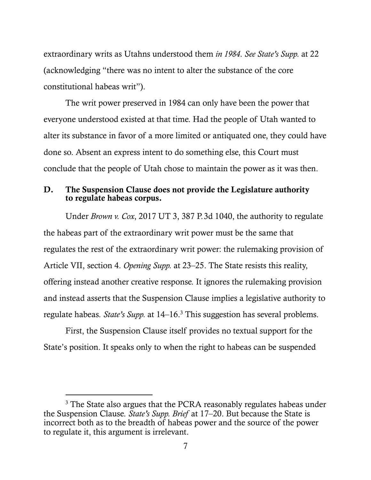extraordinary writs as Utahns understood them *in 1984*. *See State's Supp.* at 22 (acknowledging "there was no intent to alter the substance of the core constitutional habeas writ").

The writ power preserved in 1984 can only have been the power that everyone understood existed at that time. Had the people of Utah wanted to alter its substance in favor of a more limited or antiquated one, they could have done so. Absent an express intent to do something else, this Court must conclude that the people of Utah chose to maintain the power as it was then.

#### D. The Suspension Clause does not provide the Legislature authority to regulate habeas corpus.

Under *Brown v. Cox*, 2017 UT 3, 387 P.3d 1040, the authority to regulate the habeas part of the extraordinary writ power must be the same that regulates the rest of the extraordinary writ power: the rulemaking provision of Article VII, section 4. *Opening Supp.* at 23–25. The State resists this reality, offering instead another creative response. It ignores the rulemaking provision and instead asserts that the Suspension Clause implies a legislative authority to regulate habeas. *State's Supp.* at 14–16.<sup>3</sup> This suggestion has several problems.

First, the Suspension Clause itself provides no textual support for the State's position. It speaks only to when the right to habeas can be suspended

<sup>&</sup>lt;sup>3</sup> The State also argues that the PCRA reasonably regulates habeas under the Suspension Clause. *State's Supp. Brief* at 17–20. But because the State is incorrect both as to the breadth of habeas power and the source of the power to regulate it, this argument is irrelevant.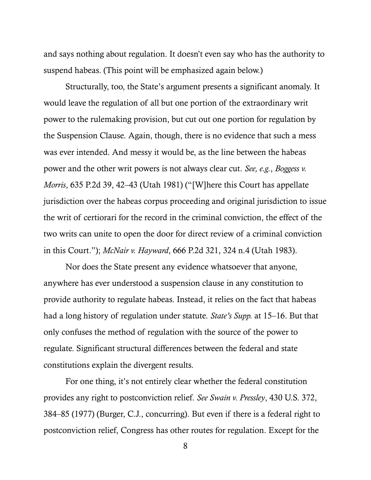and says nothing about regulation. It doesn't even say who has the authority to suspend habeas. (This point will be emphasized again below.)

Structurally, too, the State's argument presents a significant anomaly. It would leave the regulation of all but one portion of the extraordinary writ power to the rulemaking provision, but cut out one portion for regulation by the Suspension Clause. Again, though, there is no evidence that such a mess was ever intended. And messy it would be, as the line between the habeas power and the other writ powers is not always clear cut. *See, e.g.*, *Boggess v. Morris*, 635 P.2d 39, 42–43 (Utah 1981) ("[W]here this Court has appellate jurisdiction over the habeas corpus proceeding and original jurisdiction to issue the writ of certiorari for the record in the criminal conviction, the effect of the two writs can unite to open the door for direct review of a criminal conviction in this Court."); *McNair v. Hayward*, 666 P.2d 321, 324 n.4 (Utah 1983).

Nor does the State present any evidence whatsoever that anyone, anywhere has ever understood a suspension clause in any constitution to provide authority to regulate habeas. Instead, it relies on the fact that habeas had a long history of regulation under statute. *State's Supp.* at 15–16. But that only confuses the method of regulation with the source of the power to regulate. Significant structural differences between the federal and state constitutions explain the divergent results.

For one thing, it's not entirely clear whether the federal constitution provides any right to postconviction relief. *See Swain v. Pressley*, 430 U.S. 372, 384–85 (1977) (Burger, C.J., concurring). But even if there is a federal right to postconviction relief, Congress has other routes for regulation. Except for the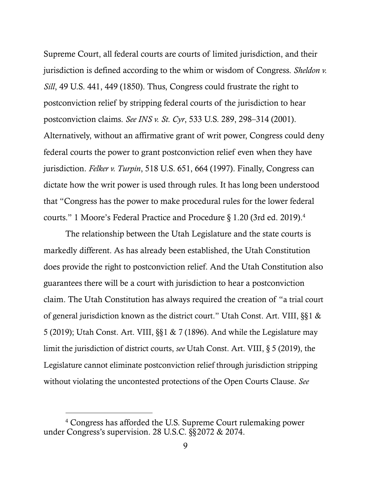Supreme Court, all federal courts are courts of limited jurisdiction, and their jurisdiction is defined according to the whim or wisdom of Congress. *Sheldon v. Sill*, 49 U.S. 441, 449 (1850). Thus, Congress could frustrate the right to postconviction relief by stripping federal courts of the jurisdiction to hear postconviction claims. *See INS v. St. Cyr*, 533 U.S. 289, 298–314 (2001). Alternatively, without an affirmative grant of writ power, Congress could deny federal courts the power to grant postconviction relief even when they have jurisdiction. *Felker v. Turpin*, 518 U.S. 651, 664 (1997). Finally, Congress can dictate how the writ power is used through rules. It has long been understood that "Congress has the power to make procedural rules for the lower federal courts." 1 Moore's Federal Practice and Procedure § 1.20 (3rd ed. 2019). 4

The relationship between the Utah Legislature and the state courts is markedly different. As has already been established, the Utah Constitution does provide the right to postconviction relief. And the Utah Constitution also guarantees there will be a court with jurisdiction to hear a postconviction claim. The Utah Constitution has always required the creation of "a trial court of general jurisdiction known as the district court." Utah Const. Art. VIII, §§1 & 5 (2019); Utah Const. Art. VIII, §§1 & 7 (1896). And while the Legislature may limit the jurisdiction of district courts, *see* Utah Const. Art. VIII, § 5 (2019), the Legislature cannot eliminate postconviction relief through jurisdiction stripping without violating the uncontested protections of the Open Courts Clause. *See*

<sup>4</sup> Congress has afforded the U.S. Supreme Court rulemaking power under Congress's supervision. 28 U.S.C. §§2072 & 2074.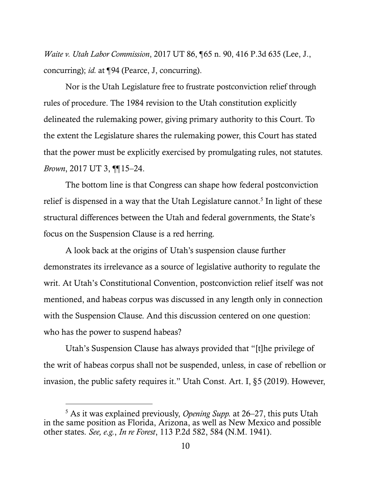*Waite v. Utah Labor Commission*, 2017 UT 86, ¶65 n. 90, 416 P.3d 635 (Lee, J., concurring); *id.* at ¶94 (Pearce, J, concurring).

Nor is the Utah Legislature free to frustrate postconviction relief through rules of procedure. The 1984 revision to the Utah constitution explicitly delineated the rulemaking power, giving primary authority to this Court. To the extent the Legislature shares the rulemaking power, this Court has stated that the power must be explicitly exercised by promulgating rules, not statutes. *Brown*, 2017 UT 3, ¶¶15–24.

The bottom line is that Congress can shape how federal postconviction relief is dispensed in a way that the Utah Legislature cannot.<sup>5</sup> In light of these structural differences between the Utah and federal governments, the State's focus on the Suspension Clause is a red herring.

A look back at the origins of Utah's suspension clause further demonstrates its irrelevance as a source of legislative authority to regulate the writ. At Utah's Constitutional Convention, postconviction relief itself was not mentioned, and habeas corpus was discussed in any length only in connection with the Suspension Clause. And this discussion centered on one question: who has the power to suspend habeas?

Utah's Suspension Clause has always provided that "[t]he privilege of the writ of habeas corpus shall not be suspended, unless, in case of rebellion or invasion, the public safety requires it." Utah Const. Art. I, §5 (2019). However,

<sup>5</sup> As it was explained previously, *Opening Supp.* at 26–27, this puts Utah in the same position as Florida, Arizona, as well as New Mexico and possible other states. *See, e.g.*, *In re Forest*, 113 P.2d 582, 584 (N.M. 1941).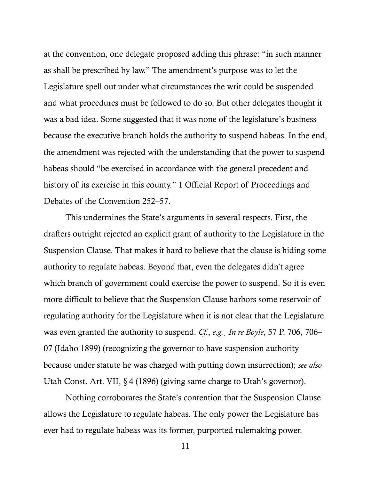at the convention, one delegate proposed adding this phrase: "in such manner as shall be prescribed by law." The amendment's purpose was to let the Legislature spell out under what circumstances the writ could be suspended and what procedures must be followed to do so. But other delegates thought it was a bad idea. Some suggested that it was none of the legislature's business because the executive branch holds the authority to suspend habeas. In the end, the amendment was rejected with the understanding that the power to suspend habeas should "be exercised in accordance with the general precedent and history of its exercise in this county." 1 Official Report of Proceedings and Debates of the Convention 252–57.

This undermines the State's arguments in several respects. First, the drafters outright rejected an explicit grant of authority to the Legislature in the Suspension Clause. That makes it hard to believe that the clause is hiding some authority to regulate habeas. Beyond that, even the delegates didn't agree which branch of government could exercise the power to suspend. So it is even more difficult to believe that the Suspension Clause harbors some reservoir of regulating authority for the Legislature when it is not clear that the Legislature was even granted the authority to suspend. *Cf.*, *e.g.*¸ *In re Boyle*, 57 P. 706, 706– 07 (Idaho 1899) (recognizing the governor to have suspension authority because under statute he was charged with putting down insurrection); *see also* Utah Const. Art. VII, § 4 (1896) (giving same charge to Utah's governor).

Nothing corroborates the State's contention that the Suspension Clause allows the Legislature to regulate habeas. The only power the Legislature has ever had to regulate habeas was its former, purported rulemaking power.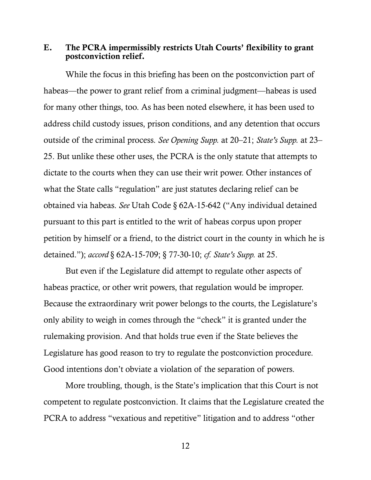#### E. The PCRA impermissibly restricts Utah Courts' flexibility to grant postconviction relief.

While the focus in this briefing has been on the postconviction part of habeas—the power to grant relief from a criminal judgment—habeas is used for many other things, too. As has been noted elsewhere, it has been used to address child custody issues, prison conditions, and any detention that occurs outside of the criminal process. *See Opening Supp.* at 20–21; *State's Supp.* at 23– 25. But unlike these other uses, the PCRA is the only statute that attempts to dictate to the courts when they can use their writ power. Other instances of what the State calls "regulation" are just statutes declaring relief can be obtained via habeas. *See* Utah Code § 62A-15-642 ("Any individual detained pursuant to this part is entitled to the writ of habeas corpus upon proper petition by himself or a friend, to the district court in the county in which he is detained."); *accord* § 62A-15-709; § 77-30-10; *cf. State's Supp.* at 25.

But even if the Legislature did attempt to regulate other aspects of habeas practice, or other writ powers, that regulation would be improper. Because the extraordinary writ power belongs to the courts, the Legislature's only ability to weigh in comes through the "check" it is granted under the rulemaking provision. And that holds true even if the State believes the Legislature has good reason to try to regulate the postconviction procedure. Good intentions don't obviate a violation of the separation of powers.

More troubling, though, is the State's implication that this Court is not competent to regulate postconviction. It claims that the Legislature created the PCRA to address "vexatious and repetitive" litigation and to address "other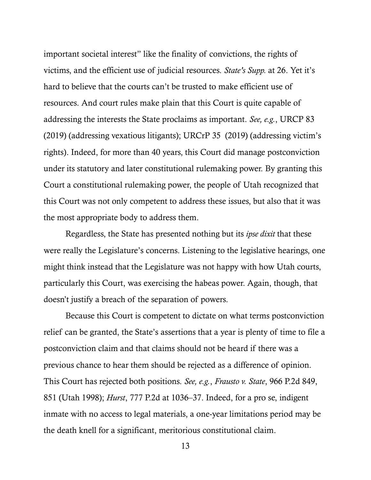important societal interest" like the finality of convictions, the rights of victims, and the efficient use of judicial resources. *State's Supp.* at 26. Yet it's hard to believe that the courts can't be trusted to make efficient use of resources. And court rules make plain that this Court is quite capable of addressing the interests the State proclaims as important. *See, e.g.*, URCP 83 (2019) (addressing vexatious litigants); URCrP 35 (2019) (addressing victim's rights). Indeed, for more than 40 years, this Court did manage postconviction under its statutory and later constitutional rulemaking power. By granting this Court a constitutional rulemaking power, the people of Utah recognized that this Court was not only competent to address these issues, but also that it was the most appropriate body to address them.

Regardless, the State has presented nothing but its *ipse dixit* that these were really the Legislature's concerns. Listening to the legislative hearings, one might think instead that the Legislature was not happy with how Utah courts, particularly this Court, was exercising the habeas power. Again, though, that doesn't justify a breach of the separation of powers.

Because this Court is competent to dictate on what terms postconviction relief can be granted, the State's assertions that a year is plenty of time to file a postconviction claim and that claims should not be heard if there was a previous chance to hear them should be rejected as a difference of opinion. This Court has rejected both positions. *See, e.g.*, *Frausto v. State*, 966 P.2d 849, 851 (Utah 1998); *Hurst*, 777 P.2d at 1036–37. Indeed, for a pro se, indigent inmate with no access to legal materials, a one-year limitations period may be the death knell for a significant, meritorious constitutional claim.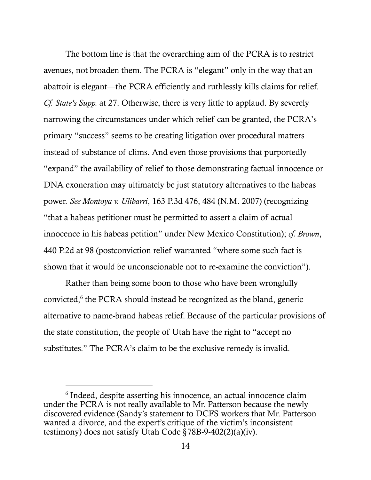The bottom line is that the overarching aim of the PCRA is to restrict avenues, not broaden them. The PCRA is "elegant" only in the way that an abattoir is elegant—the PCRA efficiently and ruthlessly kills claims for relief. *Cf. State's Supp.* at 27. Otherwise, there is very little to applaud. By severely narrowing the circumstances under which relief can be granted, the PCRA's primary "success" seems to be creating litigation over procedural matters instead of substance of clims. And even those provisions that purportedly "expand" the availability of relief to those demonstrating factual innocence or DNA exoneration may ultimately be just statutory alternatives to the habeas power. *See Montoya v. Ulibarri*, 163 P.3d 476, 484 (N.M. 2007) (recognizing "that a habeas petitioner must be permitted to assert a claim of actual innocence in his habeas petition" under New Mexico Constitution); *cf. Brown*, 440 P.2d at 98 (postconviction relief warranted "where some such fact is shown that it would be unconscionable not to re-examine the conviction").

Rather than being some boon to those who have been wrongfully convicted,<sup>6</sup> the PCRA should instead be recognized as the bland, generic alternative to name-brand habeas relief. Because of the particular provisions of the state constitution, the people of Utah have the right to "accept no substitutes." The PCRA's claim to be the exclusive remedy is invalid.

<sup>6</sup> Indeed, despite asserting his innocence, an actual innocence claim under the PCRA is not really available to Mr. Patterson because the newly discovered evidence (Sandy's statement to DCFS workers that Mr. Patterson wanted a divorce, and the expert's critique of the victim's inconsistent testimony) does not satisfy Utah Code  $\bar{\S}$ 78B-9-402(2)(a)(iv).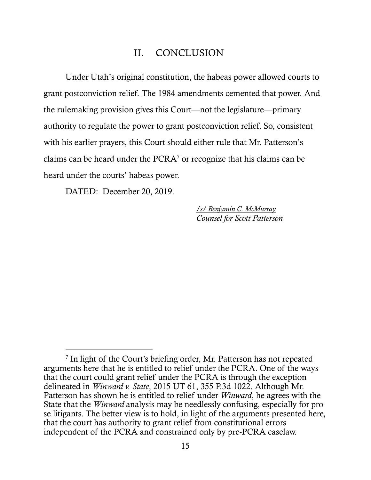### II. CONCLUSION

Under Utah's original constitution, the habeas power allowed courts to grant postconviction relief. The 1984 amendments cemented that power. And the rulemaking provision gives this Court—not the legislature—primary authority to regulate the power to grant postconviction relief. So, consistent with his earlier prayers, this Court should either rule that Mr. Patterson's claims can be heard under the PCRA<sup>7</sup> or recognize that his claims can be heard under the courts' habeas power.

DATED: December 20, 2019.

 $\overline{a}$ 

*/s/ Benjamin C. McMurray Counsel for Scott Patterson*

<sup>&</sup>lt;sup>7</sup> In light of the Court's briefing order, Mr. Patterson has not repeated arguments here that he is entitled to relief under the PCRA. One of the ways that the court could grant relief under the PCRA is through the exception delineated in *Winward v. State*, 2015 UT 61, 355 P.3d 1022. Although Mr. Patterson has shown he is entitled to relief under *Winward*, he agrees with the State that the *Winward* analysis may be needlessly confusing, especially for pro se litigants. The better view is to hold, in light of the arguments presented here, that the court has authority to grant relief from constitutional errors independent of the PCRA and constrained only by pre-PCRA caselaw.